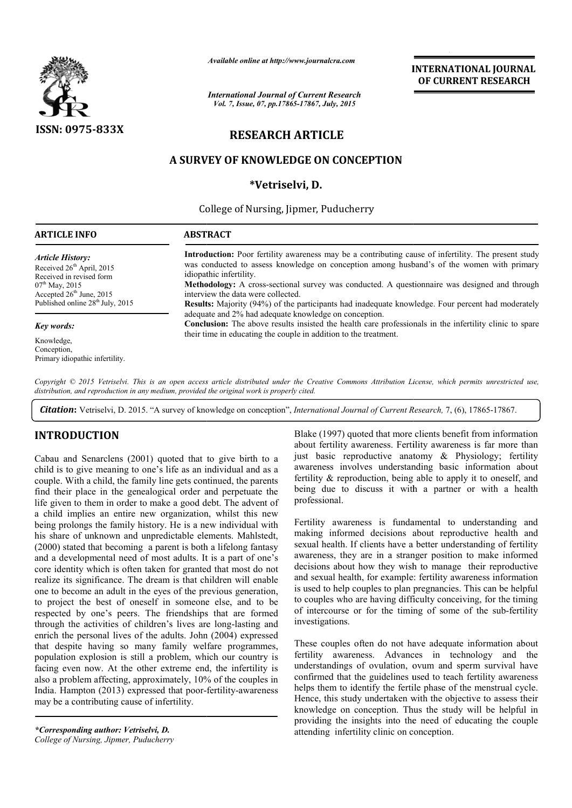

*Available online at http://www.journalcra.com*

*International Journal of Current Research Vol. 7, Issue, 07, pp.17865-17867, July, 2015*

**INTERNATIONAL INTERNATIONAL JOURNAL OF CURRENT RESEARCH** 

# **RESEARCH ARTICLE**

# **A SURVEY OF KNOWLEDGE ON CONCEPTION**

## **\*Vetriselvi, D.**

College of Nursing, Jipmer, Puducherry 1

#### **ARTICLE INFO ABSTRACT**

*Article History:* Received  $26<sup>th</sup>$  April, 2015 Received in revised form  $07<sup>th</sup>$  May, 2015 Accepted 26<sup>th</sup> June, 2015 Published online 28<sup>th</sup> July, 2015

#### *Key words:*

Knowledge, Conception, Primary idiopathic infertility.

**Introduction:**  Poor fertility awareness may be a contributing cause of infertility. The present study was conducted to assess knowledge on conception among husband's of the women with primary idiopathic infertility. **Methodology:**  A cross-sectional survey was conducted. A questionnaire was designed and t interview the data were collected. **Results:**  Majority (94%) of the participants had inadequate knowledge. Four percent had moderately adequate and 2% had adequate knowledge on conception. **Results:** Majority (94%) of the participants had inadequate knowledge. Four percent had moderately adequate and 2% had adequate knowledge on conception.<br>**Conclusion:** The above results insisted the health care professiona their time in educating the couple in addition to the treatment. ility awareness may be a contributing cause of infertility. The present study s knowledge on conception among husband's of the women with primary sectional survey was conducted. A questionnaire was designed and through

Copyright © 2015 Vetriselvi. This is an open access article distributed under the Creative Commons Attribution License, which permits unrestricted use, *distribution, and reproduction in any medium, provided the original work is properly cited.*

Citation: Vetriselvi, D. 2015. "A survey of knowledge on conception", *International Journal of Current Research*, 7, (6), 17865-17867.

## **INTRODUCTION**

Cabau and Senarclens (2001) quoted that to give birth to a child is to give meaning to one's life as an individual and as a couple. With a child, the family line gets continued, the parents find their place in the genealogical order and perpetuate the life given to them in order to make a good debt. The advent of a child implies an entire new organization, whilst this new being prolongs the family history. He is a new individual with his share of unknown and unpredictable elements. Mahlstedt, (2000) stated that becoming a parent is both a lifelong fantasy and a developmental need of most adults. It is a part of one's core identity which is often taken for granted that most do not realize its significance. The dream is that children will enable one to become an adult in the eyes of the previous generation, to project the best of oneself in someone else, and to be respected by one's peers. The friendships that are formed through the activities of children's lives are long enrich the personal lives of the adults. John (2004) expressed that despite having so many family welfare programmes, population explosion is still a problem, which our country is facing even now. At the other extreme end, the infertility is also a problem affecting, approximately, 10% of the couples in India. Hampton (2013) expressed that poor-fertility-awareness may be a contributing cause of infertility. der to make a good debt. The advent of<br>tire new organization, whilst this new<br>ily history. He is a new individual with<br>and unpredictable elements. Mahlstedt,<br>ming a parent is both a lifelong fantasy<br>eed of most adults. It

*\*Corresponding author: Vetriselvi, D. College of Nursing, Jipmer, Puducherry* Blake (1997) quoted that more clients benefit from information about fertility awareness. Fertility awareness is far more than just basic reproductive anatomy & Physiology; fertility awareness involves understanding basic information about fertility & reproduction, being able to apply it to oneself, and being due to discuss it with a partner or with a health professional.

Fertility awareness is fundamental to understanding and making informed decisions about reproductive health and sexual health. If clients have a better understanding of fertility awareness, they are in a stranger position to make informed decisions about how they wish to manage their reproductive and sexual health, for example: fertility awareness information is used to help couples to plan pregnancies. This can be helpful to couples who are having difficulty conceiving, for the timing of intercourse or for the timing of some of the sub investigations. (1997) quoted that more clients benefit from information<br>fertility awareness. Fertility awareness is far more than<br>asic reproductive anatomy & Physiology; fertility<br>ness involves understanding basic information about<br>y & **INTERNATIONAL JOURNAL COURNAL COURNAL COURNAL COURNEM CREAT TRESEARCH CRANCE CONCEPTION (1, 2015)**<br> **C.**<br> **C.**<br> **C.**<br> **C.**<br> **C.**<br> **C.**<br> **C.**<br> **C.**<br> **C.**<br> **C.**<br> **C.**<br> **C.**<br> **C.**<br> **C.**<br> **C.**<br> **C.**<br> **C.**<br> **C.**<br> **C.**<br> **C.**<br>

These couples often do not have adequate information about fertility awareness. Advances in technology and the understandings of ovulation, ovum and sperm survival have confirmed that the guidelines used to teach fertility awareness helps them to identify the fertile phase of the menstrual cycle. Hence, this study undertaken with the objective to assess their knowledge on conception. Thus the study will be helpful in providing the insights into the need of educating the couple attending infertility clinic on conception. couples often do not have adequate information about<br>ty awareness. Advances in technology and the<br>standings of ovulation, ovum and sperm survival have<br>med that the guidelines used to teach fertility awareness<br>them to ident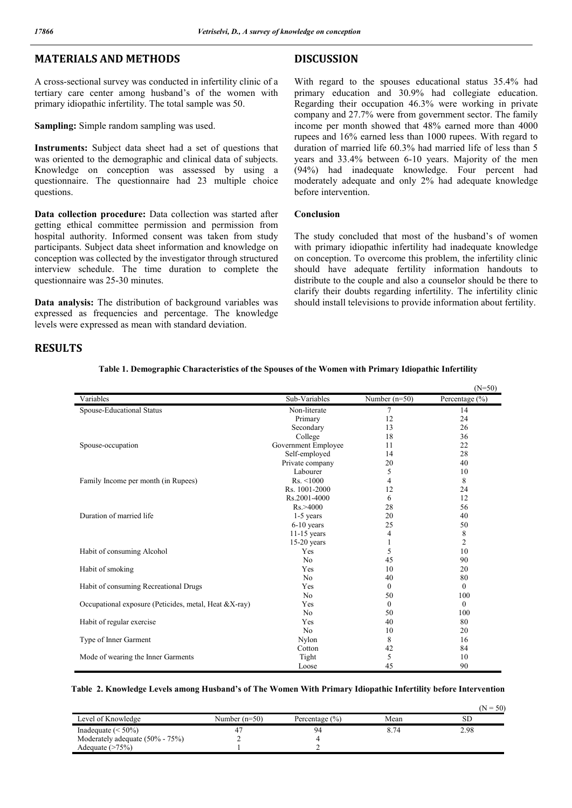# **MATERIALS AND METHODS**

A cross-sectional survey was conducted in infertility clinic of a tertiary care center among husband's of the women with primary idiopathic infertility. The total sample was 50.

**Sampling:** Simple random sampling was used.

**Instruments:** Subject data sheet had a set of questions that was oriented to the demographic and clinical data of subjects. Knowledge on conception was assessed by using a questionnaire. The questionnaire had 23 multiple choice questions.

**Data collection procedure:** Data collection was started after getting ethical committee permission and permission from hospital authority. Informed consent was taken from study participants. Subject data sheet information and knowledge on conception was collected by the investigator through structured interview schedule. The time duration to complete the questionnaire was 25-30 minutes.

**Data analysis:** The distribution of background variables was expressed as frequencies and percentage. The knowledge levels were expressed as mean with standard deviation.

## **DISCUSSION**

With regard to the spouses educational status 35.4% had primary education and 30.9% had collegiate education. Regarding their occupation 46.3% were working in private company and 27.7% were from government sector. The family income per month showed that 48% earned more than 4000 rupees and 16% earned less than 1000 rupees. With regard to duration of married life 60.3% had married life of less than 5 years and 33.4% between 6-10 years. Majority of the men (94%) had inadequate knowledge. Four percent had moderately adequate and only 2% had adequate knowledge before intervention.

#### **Conclusion**

The study concluded that most of the husband's of women with primary idiopathic infertility had inadequate knowledge on conception. To overcome this problem, the infertility clinic should have adequate fertility information handouts to distribute to the couple and also a counselor should be there to clarify their doubts regarding infertility. The infertility clinic should install televisions to provide information about fertility.

 $(N = 50)$ 

## **RESULTS**

|                                                       |                     |                 | $(N=50)$           |
|-------------------------------------------------------|---------------------|-----------------|--------------------|
| Variables                                             | Sub-Variables       | Number $(n=50)$ | Percentage $(\% )$ |
| Spouse-Educational Status                             | Non-literate        | 7               | 14                 |
|                                                       | Primary             | 12              | 24                 |
|                                                       | Secondary           | 13              | 26                 |
|                                                       | College             | 18              | 36                 |
| Spouse-occupation                                     | Government Employee | 11              | 22                 |
|                                                       | Self-employed       | 14              | 28                 |
|                                                       | Private company     | 20              | 40                 |
|                                                       | Labourer            | 5               | 10                 |
| Family Income per month (in Rupees)                   | Rs. < 1000          | 4               | 8                  |
|                                                       | Rs. 1001-2000       | 12              | 24                 |
|                                                       | Rs.2001-4000        | 6               | 12                 |
|                                                       | Rs. > 4000          | 28              | 56                 |
| Duration of married life                              | 1-5 years           | 20              | 40                 |
|                                                       | $6-10$ years        | 25              | 50                 |
|                                                       | $11-15$ years       | 4               | 8                  |
|                                                       | $15-20$ years       | 1               | $\overline{2}$     |
| Habit of consuming Alcohol                            | Yes                 | 5               | 10                 |
|                                                       | N <sub>0</sub>      | 45              | 90                 |
| Habit of smoking                                      | Yes                 | 10              | 20                 |
|                                                       | N <sub>0</sub>      | 40              | 80                 |
| Habit of consuming Recreational Drugs                 | Yes                 | $\theta$        | $\theta$           |
|                                                       | N <sub>0</sub>      | 50              | 100                |
| Occupational exposure (Peticides, metal, Heat &X-ray) | Yes                 | $\theta$        | $\theta$           |
|                                                       | N <sub>0</sub>      | 50              | 100                |
| Habit of regular exercise                             | Yes                 | 40              | 80                 |
|                                                       | N <sub>0</sub>      | 10              | 20                 |
| Type of Inner Garment                                 | Nylon               | 8               | 16                 |
|                                                       | Cotton              | 42              | 84                 |
| Mode of wearing the Inner Garments                    | Tight               | 5               | 10                 |
|                                                       | Loose               | 45              | 90                 |

#### **Table 1. Demographic Characteristics of the Spouses of the Women with Primary Idiopathic Infertility**

#### **Table 2. Knowledge Levels among Husband's of The Women With Primary Idiopathic Infertility before Intervention**

|                                 |                 |                    |      | .    |
|---------------------------------|-----------------|--------------------|------|------|
| Level of Knowledge              | Number $(n=50)$ | Percentage $(\% )$ | Mean | SЬ   |
| Inadequate $(< 50\%)$           |                 |                    | 74   | 2.98 |
| Moderately adequate (50% - 75%) |                 |                    |      |      |
| Adequate (>75%)                 |                 |                    |      |      |